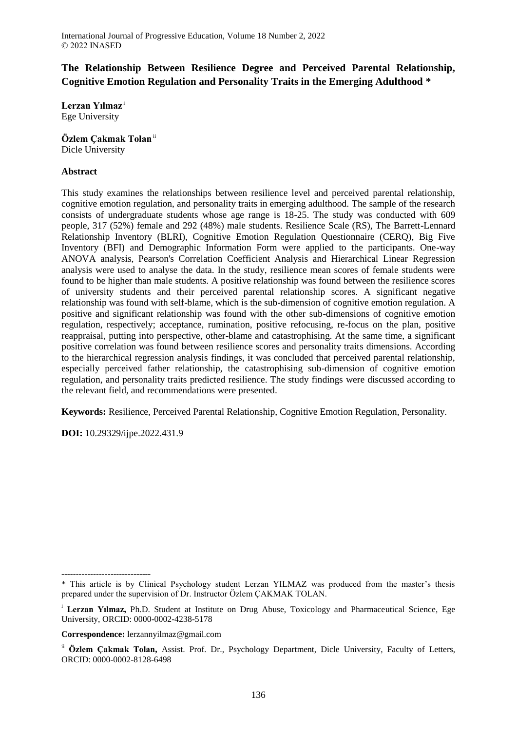# **The Relationship Between Resilience Degree and Perceived Parental Relationship, Cognitive Emotion Regulation and Personality Traits in the Emerging Adulthood \***

**Lerzan Yılmaz** <sup>i</sup> Ege University

**Özlem Çakmak Tolan**ii Dicle University

# **Abstract**

This study examines the relationships between resilience level and perceived parental relationship, cognitive emotion regulation, and personality traits in emerging adulthood. The sample of the research consists of undergraduate students whose age range is 18-25. The study was conducted with 609 people, 317 (52%) female and 292 (48%) male students. Resilience Scale (RS), The Barrett-Lennard Relationship Inventory (BLRI), Cognitive Emotion Regulation Questionnaire (CERQ), Big Five Inventory (BFI) and Demographic Information Form were applied to the participants. One-way ANOVA analysis, Pearson's Correlation Coefficient Analysis and Hierarchical Linear Regression analysis were used to analyse the data. In the study, resilience mean scores of female students were found to be higher than male students. A positive relationship was found between the resilience scores of university students and their perceived parental relationship scores. A significant negative relationship was found with self-blame, which is the sub-dimension of cognitive emotion regulation. A positive and significant relationship was found with the other sub-dimensions of cognitive emotion regulation, respectively; acceptance, rumination, positive refocusing, re-focus on the plan, positive reappraisal, putting into perspective, other-blame and catastrophising. At the same time, a significant positive correlation was found between resilience scores and personality traits dimensions. According to the hierarchical regression analysis findings, it was concluded that perceived parental relationship, especially perceived father relationship, the catastrophising sub-dimension of cognitive emotion regulation, and personality traits predicted resilience. The study findings were discussed according to the relevant field, and recommendations were presented.

**Keywords:** Resilience, Perceived Parental Relationship, Cognitive Emotion Regulation, Personality.

**DOI:** 10.29329/ijpe.2022.431.9

<sup>-------------------------------</sup> \* This article is by Clinical Psychology student Lerzan YILMAZ was produced from the master's thesis prepared under the supervision of Dr. Instructor Özlem ÇAKMAK TOLAN.

<sup>i</sup> **Lerzan Yılmaz,** Ph.D. Student at Institute on Drug Abuse, Toxicology and Pharmaceutical Science, Ege University, ORCID: 0000-0002-4238-5178

**Correspondence:** lerzannyilmaz@gmail.com

ii **Özlem Çakmak Tolan,** Assist. Prof. Dr., Psychology Department, Dicle University, Faculty of Letters, ORCID: 0000-0002-8128-6498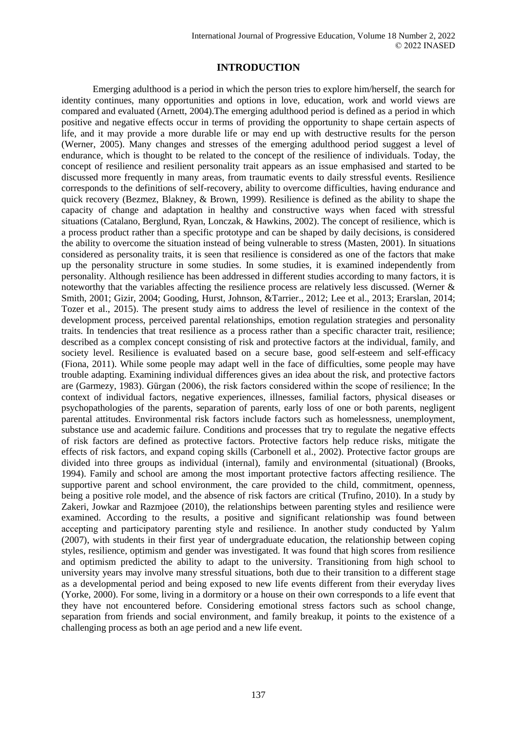# **INTRODUCTION**

Emerging adulthood is a period in which the person tries to explore him/herself, the search for identity continues, many opportunities and options in love, education, work and world views are compared and evaluated (Arnett, 2004).The emerging adulthood period is defined as a period in which positive and negative effects occur in terms of providing the opportunity to shape certain aspects of life, and it may provide a more durable life or may end up with destructive results for the person (Werner, 2005). Many changes and stresses of the emerging adulthood period suggest a level of endurance, which is thought to be related to the concept of the resilience of individuals. Today, the concept of resilience and resilient personality trait appears as an issue emphasised and started to be discussed more frequently in many areas, from traumatic events to daily stressful events. Resilience corresponds to the definitions of self-recovery, ability to overcome difficulties, having endurance and quick recovery (Bezmez, Blakney, & Brown, 1999). Resilience is defined as the ability to shape the capacity of change and adaptation in healthy and constructive ways when faced with stressful situations (Catalano, Berglund, Ryan, Lonczak, & Hawkins, 2002). The concept of resilience, which is a process product rather than a specific prototype and can be shaped by daily decisions, is considered the ability to overcome the situation instead of being vulnerable to stress (Masten, 2001). In situations considered as personality traits, it is seen that resilience is considered as one of the factors that make up the personality structure in some studies. In some studies, it is examined independently from personality. Although resilience has been addressed in different studies according to many factors, it is noteworthy that the variables affecting the resilience process are relatively less discussed. (Werner & Smith, 2001; Gizir, 2004; Gooding, Hurst, Johnson, &Tarrier., 2012; Lee et al., 2013; Erarslan, 2014; Tozer et al., 2015). The present study aims to address the level of resilience in the context of the development process, perceived parental relationships, emotion regulation strategies and personality traits. In tendencies that treat resilience as a process rather than a specific character trait, resilience; described as a complex concept consisting of risk and protective factors at the individual, family, and society level. Resilience is evaluated based on a secure base, good self-esteem and self-efficacy (Fiona, 2011). While some people may adapt well in the face of difficulties, some people may have trouble adapting. Examining individual differences gives an idea about the risk, and protective factors are (Garmezy, 1983). Gürgan (2006), the risk factors considered within the scope of resilience; In the context of individual factors, negative experiences, illnesses, familial factors, physical diseases or psychopathologies of the parents, separation of parents, early loss of one or both parents, negligent parental attitudes. Environmental risk factors include factors such as homelessness, unemployment, substance use and academic failure. Conditions and processes that try to regulate the negative effects of risk factors are defined as protective factors. Protective factors help reduce risks, mitigate the effects of risk factors, and expand coping skills (Carbonell et al., 2002). Protective factor groups are divided into three groups as individual (internal), family and environmental (situational) (Brooks, 1994). Family and school are among the most important protective factors affecting resilience. The supportive parent and school environment, the care provided to the child, commitment, openness, being a positive role model, and the absence of risk factors are critical (Trufino, 2010). In a study by Zakeri, Jowkar and Razmjoee (2010), the relationships between parenting styles and resilience were examined. According to the results, a positive and significant relationship was found between accepting and participatory parenting style and resilience. In another study conducted by Yalım (2007), with students in their first year of undergraduate education, the relationship between coping styles, resilience, optimism and gender was investigated. It was found that high scores from resilience and optimism predicted the ability to adapt to the university. Transitioning from high school to university years may involve many stressful situations, both due to their transition to a different stage as a developmental period and being exposed to new life events different from their everyday lives (Yorke, 2000). For some, living in a dormitory or a house on their own corresponds to a life event that they have not encountered before. Considering emotional stress factors such as school change, separation from friends and social environment, and family breakup, it points to the existence of a challenging process as both an age period and a new life event.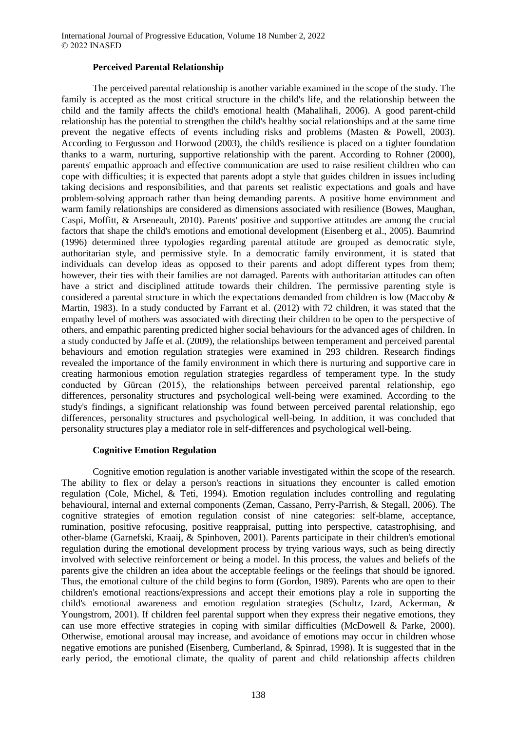# **Perceived Parental Relationship**

The perceived parental relationship is another variable examined in the scope of the study. The family is accepted as the most critical structure in the child's life, and the relationship between the child and the family affects the child's emotional health (Mahalihali, 2006). A good parent-child relationship has the potential to strengthen the child's healthy social relationships and at the same time prevent the negative effects of events including risks and problems (Masten & Powell, 2003). According to Fergusson and Horwood (2003), the child's resilience is placed on a tighter foundation thanks to a warm, nurturing, supportive relationship with the parent. According to Rohner (2000), parents' empathic approach and effective communication are used to raise resilient children who can cope with difficulties; it is expected that parents adopt a style that guides children in issues including taking decisions and responsibilities, and that parents set realistic expectations and goals and have problem-solving approach rather than being demanding parents. A positive home environment and warm family relationships are considered as dimensions associated with resilience (Bowes, Maughan, Caspi, Moffitt, & Arseneault, 2010). Parents' positive and supportive attitudes are among the crucial factors that shape the child's emotions and emotional development (Eisenberg et al., 2005). Baumrind (1996) determined three typologies regarding parental attitude are grouped as democratic style, authoritarian style, and permissive style. In a democratic family environment, it is stated that individuals can develop ideas as opposed to their parents and adopt different types from them; however, their ties with their families are not damaged. Parents with authoritarian attitudes can often have a strict and disciplined attitude towards their children. The permissive parenting style is considered a parental structure in which the expectations demanded from children is low (Maccoby & Martin, 1983). In a study conducted by Farrant et al. (2012) with 72 children, it was stated that the empathy level of mothers was associated with directing their children to be open to the perspective of others, and empathic parenting predicted higher social behaviours for the advanced ages of children. In a study conducted by Jaffe et al. (2009), the relationships between temperament and perceived parental behaviours and emotion regulation strategies were examined in 293 children. Research findings revealed the importance of the family environment in which there is nurturing and supportive care in creating harmonious emotion regulation strategies regardless of temperament type. In the study conducted by Gürcan (2015), the relationships between perceived parental relationship, ego differences, personality structures and psychological well-being were examined. According to the study's findings, a significant relationship was found between perceived parental relationship, ego differences, personality structures and psychological well-being. In addition, it was concluded that personality structures play a mediator role in self-differences and psychological well-being.

## **Cognitive Emotion Regulation**

Cognitive emotion regulation is another variable investigated within the scope of the research. The ability to flex or delay a person's reactions in situations they encounter is called emotion regulation (Cole, Michel, & Teti, 1994). Emotion regulation includes controlling and regulating behavioural, internal and external components (Zeman, Cassano, Perry-Parrish, & Stegall, 2006). The cognitive strategies of emotion regulation consist of nine categories: self-blame, acceptance, rumination, positive refocusing, positive reappraisal, putting into perspective, catastrophising, and other-blame (Garnefski, Kraaij, & Spinhoven, 2001). Parents participate in their children's emotional regulation during the emotional development process by trying various ways, such as being directly involved with selective reinforcement or being a model. In this process, the values and beliefs of the parents give the children an idea about the acceptable feelings or the feelings that should be ignored. Thus, the emotional culture of the child begins to form (Gordon, 1989). Parents who are open to their children's emotional reactions/expressions and accept their emotions play a role in supporting the child's emotional awareness and emotion regulation strategies (Schultz, Izard, Ackerman, & Youngstrom, 2001). If children feel parental support when they express their negative emotions, they can use more effective strategies in coping with similar difficulties (McDowell & Parke, 2000). Otherwise, emotional arousal may increase, and avoidance of emotions may occur in children whose negative emotions are punished (Eisenberg, Cumberland, & Spinrad, 1998). It is suggested that in the early period, the emotional climate, the quality of parent and child relationship affects children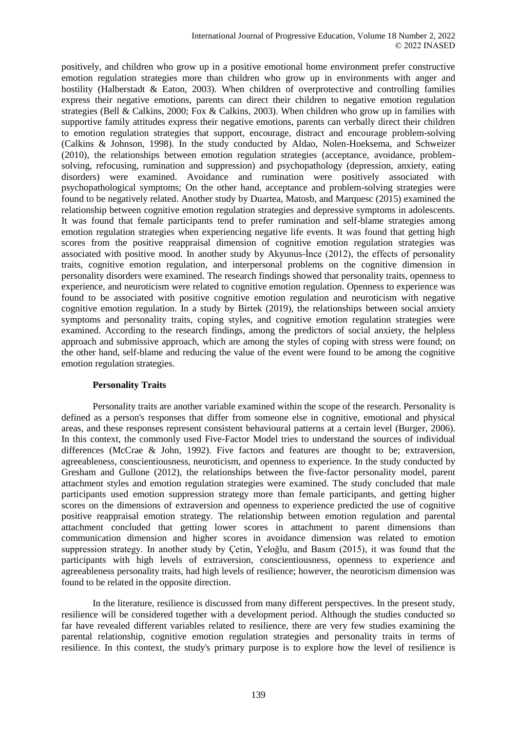positively, and children who grow up in a positive emotional home environment prefer constructive emotion regulation strategies more than children who grow up in environments with anger and hostility (Halberstadt & Eaton, 2003). When children of overprotective and controlling families express their negative emotions, parents can direct their children to negative emotion regulation strategies (Bell & Calkins, 2000; Fox & Calkins, 2003). When children who grow up in families with supportive family attitudes express their negative emotions, parents can verbally direct their children to emotion regulation strategies that support, encourage, distract and encourage problem-solving (Calkins & Johnson, 1998). In the study conducted by Aldao, Nolen-Hoeksema, and Schweizer (2010), the relationships between emotion regulation strategies (acceptance, avoidance, problemsolving, refocusing, rumination and suppression) and psychopathology (depression, anxiety, eating disorders) were examined. Avoidance and rumination were positively associated with psychopathological symptoms; On the other hand, acceptance and problem-solving strategies were found to be negatively related. Another study by Duartea, Matosb, and Marquesc (2015) examined the relationship between cognitive emotion regulation strategies and depressive symptoms in adolescents. It was found that female participants tend to prefer rumination and self-blame strategies among emotion regulation strategies when experiencing negative life events. It was found that getting high scores from the positive reappraisal dimension of cognitive emotion regulation strategies was associated with positive mood. In another study by Akyunus-İnce (2012), the effects of personality traits, cognitive emotion regulation, and interpersonal problems on the cognitive dimension in personality disorders were examined. The research findings showed that personality traits, openness to experience, and neuroticism were related to cognitive emotion regulation. Openness to experience was found to be associated with positive cognitive emotion regulation and neuroticism with negative cognitive emotion regulation. In a study by Birtek (2019), the relationships between social anxiety symptoms and personality traits, coping styles, and cognitive emotion regulation strategies were examined. According to the research findings, among the predictors of social anxiety, the helpless approach and submissive approach, which are among the styles of coping with stress were found; on the other hand, self-blame and reducing the value of the event were found to be among the cognitive emotion regulation strategies.

## **Personality Traits**

Personality traits are another variable examined within the scope of the research. Personality is defined as a person's responses that differ from someone else in cognitive, emotional and physical areas, and these responses represent consistent behavioural patterns at a certain level (Burger, 2006). In this context, the commonly used Five-Factor Model tries to understand the sources of individual differences (McCrae & John, 1992). Five factors and features are thought to be; extraversion, agreeableness, conscientiousness, neuroticism, and openness to experience. In the study conducted by Gresham and Gullone (2012), the relationships between the five-factor personality model, parent attachment styles and emotion regulation strategies were examined. The study concluded that male participants used emotion suppression strategy more than female participants, and getting higher scores on the dimensions of extraversion and openness to experience predicted the use of cognitive positive reappraisal emotion strategy. The relationship between emotion regulation and parental attachment concluded that getting lower scores in attachment to parent dimensions than communication dimension and higher scores in avoidance dimension was related to emotion suppression strategy. In another study by Çetin, Yeloğlu, and Basım (2015), it was found that the participants with high levels of extraversion, conscientiousness, openness to experience and agreeableness personality traits, had high levels of resilience; however, the neuroticism dimension was found to be related in the opposite direction.

In the literature, resilience is discussed from many different perspectives. In the present study, resilience will be considered together with a development period. Although the studies conducted so far have revealed different variables related to resilience, there are very few studies examining the parental relationship, cognitive emotion regulation strategies and personality traits in terms of resilience. In this context, the study's primary purpose is to explore how the level of resilience is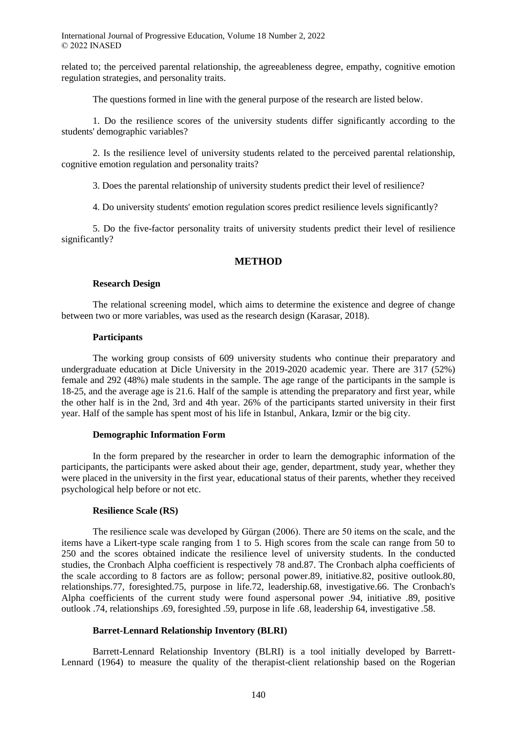related to; the perceived parental relationship, the agreeableness degree, empathy, cognitive emotion regulation strategies, and personality traits.

The questions formed in line with the general purpose of the research are listed below.

1. Do the resilience scores of the university students differ significantly according to the students' demographic variables?

2. Is the resilience level of university students related to the perceived parental relationship, cognitive emotion regulation and personality traits?

3. Does the parental relationship of university students predict their level of resilience?

4. Do university students' emotion regulation scores predict resilience levels significantly?

5. Do the five-factor personality traits of university students predict their level of resilience significantly?

### **METHOD**

### **Research Design**

The relational screening model, which aims to determine the existence and degree of change between two or more variables, was used as the research design (Karasar, 2018).

## **Participants**

The working group consists of 609 university students who continue their preparatory and undergraduate education at Dicle University in the 2019-2020 academic year. There are 317 (52%) female and 292 (48%) male students in the sample. The age range of the participants in the sample is 18-25, and the average age is 21.6. Half of the sample is attending the preparatory and first year, while the other half is in the 2nd, 3rd and 4th year. 26% of the participants started university in their first year. Half of the sample has spent most of his life in Istanbul, Ankara, Izmir or the big city.

### **Demographic Information Form**

In the form prepared by the researcher in order to learn the demographic information of the participants, the participants were asked about their age, gender, department, study year, whether they were placed in the university in the first year, educational status of their parents, whether they received psychological help before or not etc.

#### **Resilience Scale (RS)**

The resilience scale was developed by Gürgan (2006). There are 50 items on the scale, and the items have a Likert-type scale ranging from 1 to 5. High scores from the scale can range from 50 to 250 and the scores obtained indicate the resilience level of university students. In the conducted studies, the Cronbach Alpha coefficient is respectively 78 and.87. The Cronbach alpha coefficients of the scale according to 8 factors are as follow; personal power.89, initiative.82, positive outlook.80, relationships.77, foresighted.75, purpose in life.72, leadership.68, investigative.66. The Cronbach's Alpha coefficients of the current study were found aspersonal power .94, initiative .89, positive outlook .74, relationships .69, foresighted .59, purpose in life .68, leadership 64, investigative .58.

#### **Barret-Lennard Relationship Inventory (BLRI)**

Barrett-Lennard Relationship Inventory (BLRI) is a tool initially developed by Barrett-Lennard (1964) to measure the quality of the therapist-client relationship based on the Rogerian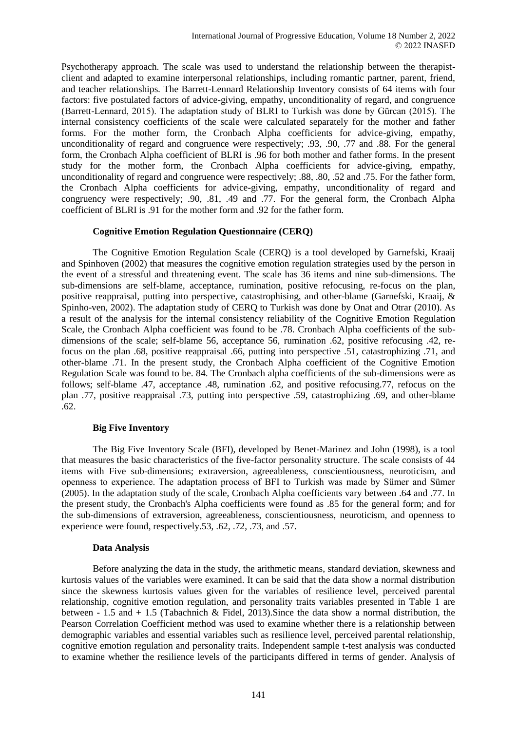Psychotherapy approach. The scale was used to understand the relationship between the therapistclient and adapted to examine interpersonal relationships, including romantic partner, parent, friend, and teacher relationships. The Barrett-Lennard Relationship Inventory consists of 64 items with four factors: five postulated factors of advice-giving, empathy, unconditionality of regard, and congruence (Barrett-Lennard, 2015). The adaptation study of BLRI to Turkish was done by Gürcan (2015). The internal consistency coefficients of the scale were calculated separately for the mother and father forms. For the mother form, the Cronbach Alpha coefficients for advice-giving, empathy, unconditionality of regard and congruence were respectively; .93, .90, .77 and .88. For the general form, the Cronbach Alpha coefficient of BLRI is .96 for both mother and father forms. In the present study for the mother form, the Cronbach Alpha coefficients for advice-giving, empathy, unconditionality of regard and congruence were respectively; .88, .80, .52 and .75. For the father form, the Cronbach Alpha coefficients for advice-giving, empathy, unconditionality of regard and congruency were respectively; .90, .81, .49 and .77. For the general form, the Cronbach Alpha coefficient of BLRI is .91 for the mother form and .92 for the father form.

## **Cognitive Emotion Regulation Questionnaire (CERQ)**

The Cognitive Emotion Regulation Scale (CERQ) is a tool developed by Garnefski, Kraaij and Spinhoven (2002) that measures the cognitive emotion regulation strategies used by the person in the event of a stressful and threatening event. The scale has 36 items and nine sub-dimensions. The sub-dimensions are self-blame, acceptance, rumination, positive refocusing, re-focus on the plan, positive reappraisal, putting into perspective, catastrophising, and other-blame (Garnefski, Kraaij, & Spinho-ven, 2002). The adaptation study of CERQ to Turkish was done by Onat and Otrar (2010). As a result of the analysis for the internal consistency reliability of the Cognitive Emotion Regulation Scale, the Cronbach Alpha coefficient was found to be .78. Cronbach Alpha coefficients of the subdimensions of the scale; self-blame 56, acceptance 56, rumination .62, positive refocusing .42, refocus on the plan .68, positive reappraisal .66, putting into perspective .51, catastrophizing .71, and other-blame .71. In the present study, the Cronbach Alpha coefficient of the Cognitive Emotion Regulation Scale was found to be. 84. The Cronbach alpha coefficients of the sub-dimensions were as follows; self-blame .47, acceptance .48, rumination .62, and positive refocusing.77, refocus on the plan .77, positive reappraisal .73, putting into perspective .59, catastrophizing .69, and other-blame .62.

## **Big Five Inventory**

The Big Five Inventory Scale (BFI), developed by Benet-Marinez and John (1998), is a tool that measures the basic characteristics of the five-factor personality structure. The scale consists of 44 items with Five sub-dimensions; extraversion, agreeableness, conscientiousness, neuroticism, and openness to experience. The adaptation process of BFI to Turkish was made by Sümer and Sümer (2005). In the adaptation study of the scale, Cronbach Alpha coefficients vary between .64 and .77. In the present study, the Cronbach's Alpha coefficients were found as .85 for the general form; and for the sub-dimensions of extraversion, agreeableness, conscientiousness, neuroticism, and openness to experience were found, respectively.53, .62, .72, .73, and .57.

#### **Data Analysis**

Before analyzing the data in the study, the arithmetic means, standard deviation, skewness and kurtosis values of the variables were examined. It can be said that the data show a normal distribution since the skewness kurtosis values given for the variables of resilience level, perceived parental relationship, cognitive emotion regulation, and personality traits variables presented in Table 1 are between - 1.5 and + 1.5 (Tabachnich & Fidel, 2013).Since the data show a normal distribution, the Pearson Correlation Coefficient method was used to examine whether there is a relationship between demographic variables and essential variables such as resilience level, perceived parental relationship, cognitive emotion regulation and personality traits. Independent sample t-test analysis was conducted to examine whether the resilience levels of the participants differed in terms of gender. Analysis of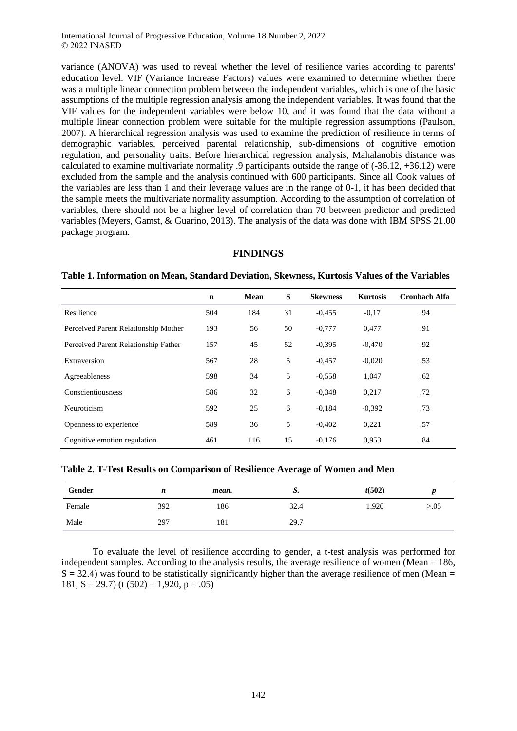variance (ANOVA) was used to reveal whether the level of resilience varies according to parents' education level. VIF (Variance Increase Factors) values were examined to determine whether there was a multiple linear connection problem between the independent variables, which is one of the basic assumptions of the multiple regression analysis among the independent variables. It was found that the VIF values for the independent variables were below 10, and it was found that the data without a multiple linear connection problem were suitable for the multiple regression assumptions (Paulson, 2007). A hierarchical regression analysis was used to examine the prediction of resilience in terms of demographic variables, perceived parental relationship, sub-dimensions of cognitive emotion regulation, and personality traits. Before hierarchical regression analysis, Mahalanobis distance was calculated to examine multivariate normality .9 participants outside the range of (-36.12, +36.12) were excluded from the sample and the analysis continued with 600 participants. Since all Cook values of the variables are less than 1 and their leverage values are in the range of 0-1, it has been decided that the sample meets the multivariate normality assumption. According to the assumption of correlation of variables, there should not be a higher level of correlation than 70 between predictor and predicted variables (Meyers, Gamst, & Guarino, 2013). The analysis of the data was done with IBM SPSS 21.00 package program.

## **FINDINGS**

#### **Table 1. Information on Mean, Standard Deviation, Skewness, Kurtosis Values of the Variables**

|                                      | $\mathbf n$ | Mean | S  | <b>Skewness</b> | <b>Kurtosis</b> | <b>Cronbach Alfa</b> |
|--------------------------------------|-------------|------|----|-----------------|-----------------|----------------------|
| Resilience                           | 504         | 184  | 31 | $-0.455$        | $-0.17$         | .94                  |
| Perceived Parent Relationship Mother | 193         | 56   | 50 | $-0,777$        | 0,477           | .91                  |
| Perceived Parent Relationship Father | 157         | 45   | 52 | $-0.395$        | $-0.470$        | .92                  |
| Extraversion                         | 567         | 28   | 5  | $-0.457$        | $-0.020$        | .53                  |
| Agreeableness                        | 598         | 34   | 5  | $-0.558$        | 1,047           | .62                  |
| Conscientiousness                    | 586         | 32   | 6  | $-0.348$        | 0.217           | .72                  |
| Neuroticism                          | 592         | 25   | 6  | $-0.184$        | $-0.392$        | .73                  |
| Openness to experience               | 589         | 36   | 5  | $-0,402$        | 0,221           | .57                  |
| Cognitive emotion regulation         | 461         | 116  | 15 | $-0,176$        | 0.953           | .84                  |

**Table 2. T-Test Results on Comparison of Resilience Average of Women and Men**

| Gender | n   | mean. | ມ.   | t(502) |        |
|--------|-----|-------|------|--------|--------|
| Female | 392 | 186   | 32.4 | 1.920  | > 0.05 |
| Male   | 297 | 181   | 29.7 |        |        |

To evaluate the level of resilience according to gender, a t-test analysis was performed for independent samples. According to the analysis results, the average resilience of women (Mean  $= 186$ ,  $S = 32.4$ ) was found to be statistically significantly higher than the average resilience of men (Mean = 181,  $S = 29.7$ ) (t  $(502) = 1,920$ ,  $p = .05$ )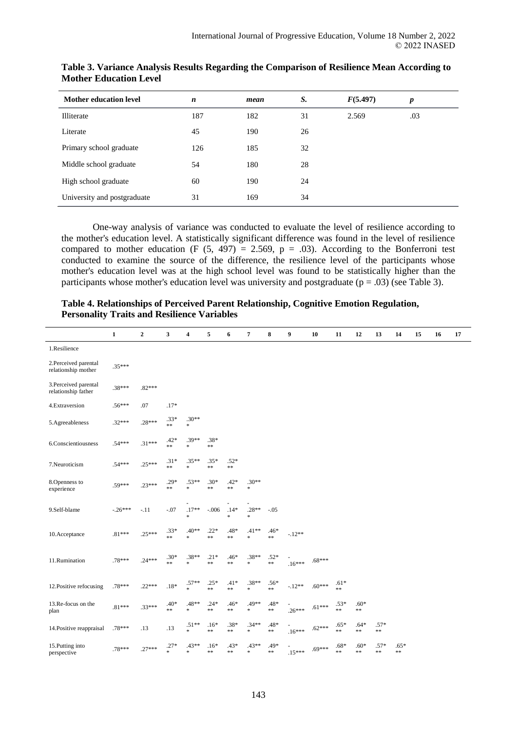| <b>Mother education level</b> | n   | mean | S. | F(5.497) | $\boldsymbol{p}$ |
|-------------------------------|-----|------|----|----------|------------------|
| Illiterate                    | 187 | 182  | 31 | 2.569    | .03              |
| Literate                      | 45  | 190  | 26 |          |                  |
| Primary school graduate       | 126 | 185  | 32 |          |                  |
| Middle school graduate        | 54  | 180  | 28 |          |                  |
| High school graduate          | 60  | 190  | 24 |          |                  |
| University and postgraduate   | 31  | 169  | 34 |          |                  |

# **Table 3. Variance Analysis Results Regarding the Comparison of Resilience Mean According to Mother Education Level**

One-way analysis of variance was conducted to evaluate the level of resilience according to the mother's education level. A statistically significant difference was found in the level of resilience compared to mother education (F  $(5, 497) = 2.569$ , p = .03). According to the Bonferroni test conducted to examine the source of the difference, the resilience level of the participants whose mother's education level was at the high school level was found to be statistically higher than the participants whose mother's education level was university and postgraduate ( $p = .03$ ) (see Table 3).

# **Table 4. Relationships of Perceived Parent Relationship, Cognitive Emotion Regulation, Personality Traits and Resilience Variables**

|                                             | $\mathbf{1}$ | $\mathbf{2}$ | 3                    | 4                 | 5                    | 6                    | $\overline{7}$    | 8              | 9        | 10       | 11             | 12                   | 13               | 14             | 15 | 16 | 17 |
|---------------------------------------------|--------------|--------------|----------------------|-------------------|----------------------|----------------------|-------------------|----------------|----------|----------|----------------|----------------------|------------------|----------------|----|----|----|
| 1.Resilience                                |              |              |                      |                   |                      |                      |                   |                |          |          |                |                      |                  |                |    |    |    |
| 2.Perceived parental<br>relationship mother | $.35***$     |              |                      |                   |                      |                      |                   |                |          |          |                |                      |                  |                |    |    |    |
| 3.Perceived parental<br>relationship father | .38***       | $.82***$     |                      |                   |                      |                      |                   |                |          |          |                |                      |                  |                |    |    |    |
| 4.Extraversion                              | $.56***$     | .07          | $.17*$               |                   |                      |                      |                   |                |          |          |                |                      |                  |                |    |    |    |
| 5.Agreeableness                             | $.32***$     | $.28***$     | $.33*$<br>$\ast\ast$ | $.30**$<br>$\ast$ |                      |                      |                   |                |          |          |                |                      |                  |                |    |    |    |
| 6.Conscientiousness                         | $.54***$     | $.31***$     | $.42*$<br>**         | $.39**$<br>$\ast$ | .38*<br>$\ast\ast$   |                      |                   |                |          |          |                |                      |                  |                |    |    |    |
| 7.Neuroticism                               | $.54***$     | $.25***$     | $.31*$<br>**         | $.35**$<br>$\ast$ | $.35*$<br>**         | $.52*$<br>$\ast\ast$ |                   |                |          |          |                |                      |                  |                |    |    |    |
| 8.Openness to<br>experience                 | .59***       | $.23***$     | $.29*$<br>$\ast\ast$ | $.53**$<br>$\ast$ | $.30*$<br>$\ast\ast$ | $.42*$<br>$**$       | $.30**$<br>$\ast$ |                |          |          |                |                      |                  |                |    |    |    |
| 9.Self-blame                                | $-.26***$    | $-.11$       | $-.07$               | $.17**$<br>$\ast$ | $-.006$              | $.14*$<br>$\ast$     | $.28**$<br>×.     | $-.05$         |          |          |                |                      |                  |                |    |    |    |
| 10.Acceptance                               | $.81***$     | $.25***$     | $.33*$<br>$\ast\ast$ | $.40**$<br>$\ast$ | $.22*$<br>$\ast\ast$ | .48*<br>$**$         | $.41**$<br>×.     | $.46*$<br>$**$ | $-.12**$ |          |                |                      |                  |                |    |    |    |
| 11.Rumination                               | .78***       | $.24***$     | $.30*$<br>$\ast\ast$ | $.38**$<br>×.     | $.21*$<br>$\ast\ast$ | .46*<br>$**$         | $.38**$<br>×.     | $.52*$<br>$**$ | $.16***$ | $.68***$ |                |                      |                  |                |    |    |    |
| 12. Positive refocusing                     | .78***       | $.22***$     | $.18*$               | $.57**$<br>$\ast$ | $.25*$<br>$\ast\ast$ | $.41*$<br>$**$       | $.38**$<br>$\ast$ | $.56*$<br>$**$ | $-.12**$ | $.60***$ | $.61*$<br>$**$ |                      |                  |                |    |    |    |
| 13.Re-focus on the<br>plan                  | $.81***$     | $.33***$     | $.40*$<br>**         | .48**<br>$\ast$   | $.24*$<br>**         | $.46*$<br>**         | .49**<br>$\ast$   | .48*<br>$**$   | $.26***$ | $.61***$ | $.53*$<br>**   | $.60*$<br>$\ast\ast$ |                  |                |    |    |    |
| 14. Positive reappraisal                    | .78***       | .13          | .13                  | $.51**$<br>×.     | $.16*$<br>$**$       | $.38*$<br>$**$       | $.34**$<br>$\ast$ | .48*<br>$**$   | $.16***$ | $.62***$ | $.65*$<br>$**$ | $.64*$<br>$\ast\ast$ | $.57*$<br>$\ast$ |                |    |    |    |
| 15. Putting into<br>perspective             | .78***       | $.27***$     | $.27*$<br>×.         | $.43**$<br>×.     | $.16*$<br>**         | .43*<br>**           | $.43**$<br>×.     | .49*<br>$**$   | $.15***$ | $.69***$ | $.68*$<br>**   | $.60*$<br>$**$       | $.57*$<br>$* *$  | $.65*$<br>$**$ |    |    |    |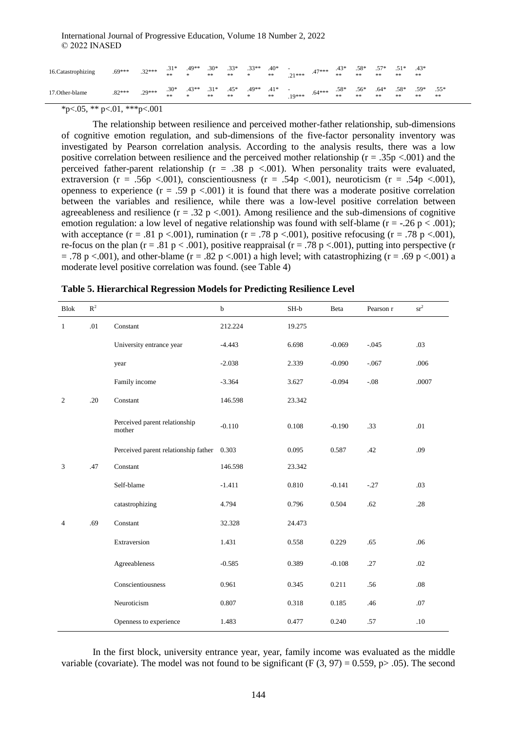| 16.Catastrophizing | $.69***$ | $.32***$ | $.31*$<br>** | .49**<br>*   | $.30*$<br>** | $.33*$<br>** | $.33**$<br>* | $.40*$<br>**       | $\sim$<br>$21***$           | $.47***$         | $.43*$<br>** | $.58*$<br>** | **           | $.51*$<br>** | $.43*$<br>** |              |
|--------------------|----------|----------|--------------|--------------|--------------|--------------|--------------|--------------------|-----------------------------|------------------|--------------|--------------|--------------|--------------|--------------|--------------|
| 17. Other-blame    | $.82***$ | $.29***$ | $.30*$<br>** | $.43**$<br>* | $.31*$<br>** | $.45*$<br>** | .49**<br>*   | $.41*$<br>$\pm\pm$ | $\sim$ 100 $\pm$<br>$19***$ | $-64***$ . $58*$ | **           | $.56*$<br>** | $.64*$<br>** | $.58*$<br>** | $.59*$<br>** | $.55*$<br>** |

 $*p<.05$ ,  $*p<.01$ ,  $**p<.001$ 

The relationship between resilience and perceived mother-father relationship, sub-dimensions of cognitive emotion regulation, and sub-dimensions of the five-factor personality inventory was investigated by Pearson correlation analysis. According to the analysis results, there was a low positive correlation between resilience and the perceived mother relationship ( $r = .35p < .001$ ) and the perceived father-parent relationship ( $r = .38$  p <.001). When personality traits were evaluated, extraversion (r = .56p <.001), conscientiousness (r = .54p <.001), neuroticism (r = .54p <.001), openness to experience  $(r = .59 \text{ p} < .001)$  it is found that there was a moderate positive correlation between the variables and resilience, while there was a low-level positive correlation between agreeableness and resilience  $(r = .32 \text{ p} < .001)$ . Among resilience and the sub-dimensions of cognitive emotion regulation: a low level of negative relationship was found with self-blame ( $r = -0.26$  p < .001); with acceptance (r = .81 p <.001), rumination (r = .78 p <.001), positive refocusing (r = .78 p <.001), re-focus on the plan (r = .81 p < .001), positive reappraisal (r = .78 p < .001), putting into perspective (r  $= .78$  p  $< .001$ ), and other-blame (r = .82 p  $< .001$ ) a high level; with catastrophizing (r = .69 p  $< .001$ ) a moderate level positive correlation was found. (see Table 4)

| <b>Blok</b>  | $\mathbb{R}^2$ |                                         | $\mathbf b$ | $SH-b$ | Beta     | Pearson r | sr <sup>2</sup> |
|--------------|----------------|-----------------------------------------|-------------|--------|----------|-----------|-----------------|
| $\mathbf{1}$ | .01            | Constant                                | 212.224     | 19.275 |          |           |                 |
|              |                | University entrance year                | $-4.443$    | 6.698  | $-0.069$ | $-.045$   | .03             |
|              |                | year                                    | $-2.038$    | 2.339  | $-0.090$ | $-.067$   | .006            |
|              |                | Family income                           | $-3.364$    | 3.627  | $-0.094$ | $-.08$    | .0007           |
| 2            | .20            | Constant                                | 146.598     | 23.342 |          |           |                 |
|              |                | Perceived parent relationship<br>mother | $-0.110$    | 0.108  | $-0.190$ | .33       | .01             |
|              |                | Perceived parent relationship father    | 0.303       | 0.095  | 0.587    | .42       | .09             |
| 3            | .47            | Constant                                | 146.598     | 23.342 |          |           |                 |
|              |                | Self-blame                              | $-1.411$    | 0.810  | $-0.141$ | $-.27$    | .03             |
|              |                | catastrophizing                         | 4.794       | 0.796  | 0.504    | .62       | .28             |
| 4            | .69            | Constant                                | 32.328      | 24.473 |          |           |                 |
|              |                | Extraversion                            | 1.431       | 0.558  | 0.229    | .65       | .06             |
|              |                | Agreeableness                           | $-0.585$    | 0.389  | $-0.108$ | .27       | .02             |
|              |                | Conscientiousness                       | 0.961       | 0.345  | 0.211    | .56       | .08             |
|              |                | Neuroticism                             | 0.807       | 0.318  | 0.185    | .46       | .07             |
|              |                | Openness to experience                  | 1.483       | 0.477  | 0.240    | .57       | .10             |

In the first block, university entrance year, year, family income was evaluated as the middle variable (covariate). The model was not found to be significant (F  $(3, 97) = 0.559$ , p $> 0.05$ ). The second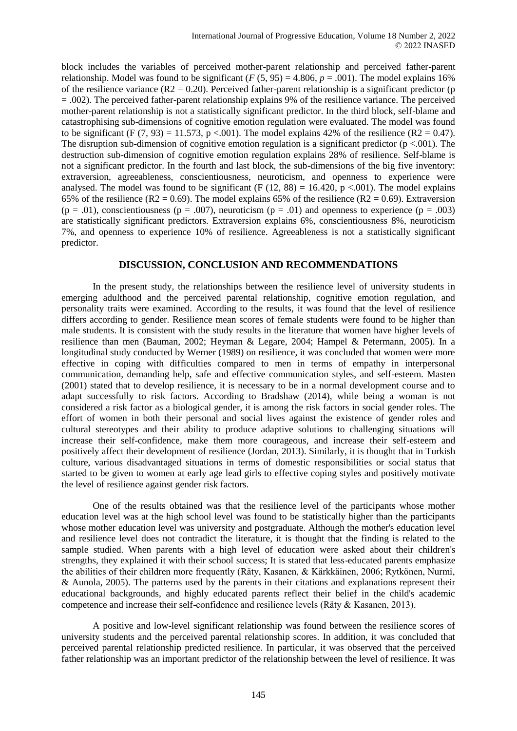block includes the variables of perceived mother-parent relationship and perceived father-parent relationship. Model was found to be significant  $(F (5, 95) = 4.806, p = .001)$ . The model explains 16% of the resilience variance ( $R2 = 0.20$ ). Perceived father-parent relationship is a significant predictor (p = .002). The perceived father-parent relationship explains 9% of the resilience variance. The perceived mother-parent relationship is not a statistically significant predictor. In the third block, self-blame and catastrophising sub-dimensions of cognitive emotion regulation were evaluated. The model was found to be significant (F  $(7, 93) = 11.573$ , p <.001). The model explains 42% of the resilience (R2 = 0.47). The disruption sub-dimension of cognitive emotion regulation is a significant predictor ( $p < .001$ ). The destruction sub-dimension of cognitive emotion regulation explains 28% of resilience. Self-blame is not a significant predictor. In the fourth and last block, the sub-dimensions of the big five inventory: extraversion, agreeableness, conscientiousness, neuroticism, and openness to experience were analysed. The model was found to be significant (F  $(12, 88) = 16.420$ , p < 001). The model explains 65% of the resilience (R2 = 0.69). The model explains 65% of the resilience (R2 = 0.69). Extraversion  $(p = .01)$ , conscientiousness  $(p = .007)$ , neuroticism  $(p = .01)$  and openness to experience  $(p = .003)$ are statistically significant predictors. Extraversion explains 6%, conscientiousness 8%, neuroticism 7%, and openness to experience 10% of resilience. Agreeableness is not a statistically significant predictor.

# **DISCUSSION, CONCLUSION AND RECOMMENDATIONS**

In the present study, the relationships between the resilience level of university students in emerging adulthood and the perceived parental relationship, cognitive emotion regulation, and personality traits were examined. According to the results, it was found that the level of resilience differs according to gender. Resilience mean scores of female students were found to be higher than male students. It is consistent with the study results in the literature that women have higher levels of resilience than men (Bauman, 2002; Heyman & Legare, 2004; Hampel & Petermann, 2005). In a longitudinal study conducted by Werner (1989) on resilience, it was concluded that women were more effective in coping with difficulties compared to men in terms of empathy in interpersonal communication, demanding help, safe and effective communication styles, and self-esteem. Masten (2001) stated that to develop resilience, it is necessary to be in a normal development course and to adapt successfully to risk factors. According to Bradshaw (2014), while being a woman is not considered a risk factor as a biological gender, it is among the risk factors in social gender roles. The effort of women in both their personal and social lives against the existence of gender roles and cultural stereotypes and their ability to produce adaptive solutions to challenging situations will increase their self-confidence, make them more courageous, and increase their self-esteem and positively affect their development of resilience (Jordan, 2013). Similarly, it is thought that in Turkish culture, various disadvantaged situations in terms of domestic responsibilities or social status that started to be given to women at early age lead girls to effective coping styles and positively motivate the level of resilience against gender risk factors.

One of the results obtained was that the resilience level of the participants whose mother education level was at the high school level was found to be statistically higher than the participants whose mother education level was university and postgraduate. Although the mother's education level and resilience level does not contradict the literature, it is thought that the finding is related to the sample studied. When parents with a high level of education were asked about their children's strengths, they explained it with their school success; It is stated that less-educated parents emphasize the abilities of their children more frequently (Räty, Kasanen, & Kärkkäinen, 2006; Rytkönen, Nurmi, & Aunola, 2005). The patterns used by the parents in their citations and explanations represent their educational backgrounds, and highly educated parents reflect their belief in the child's academic competence and increase their self-confidence and resilience levels (Räty & Kasanen, 2013).

A positive and low-level significant relationship was found between the resilience scores of university students and the perceived parental relationship scores. In addition, it was concluded that perceived parental relationship predicted resilience. In particular, it was observed that the perceived father relationship was an important predictor of the relationship between the level of resilience. It was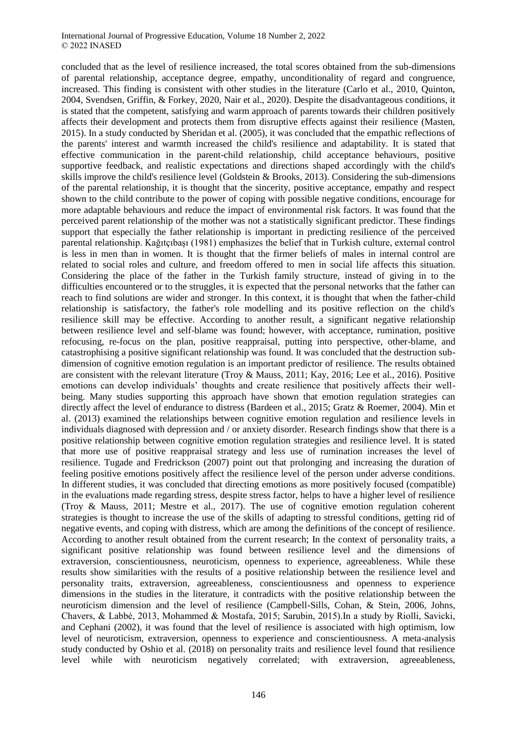concluded that as the level of resilience increased, the total scores obtained from the sub-dimensions of parental relationship, acceptance degree, empathy, unconditionality of regard and congruence, increased. This finding is consistent with other studies in the literature (Carlo et al., 2010, Quinton, 2004, Svendsen, Griffin, & Forkey, 2020, Nair et al., 2020). Despite the disadvantageous conditions, it is stated that the competent, satisfying and warm approach of parents towards their children positively affects their development and protects them from disruptive effects against their resilience (Masten, 2015). In a study conducted by Sheridan et al. (2005), it was concluded that the empathic reflections of the parents' interest and warmth increased the child's resilience and adaptability. It is stated that effective communication in the parent-child relationship, child acceptance behaviours, positive supportive feedback, and realistic expectations and directions shaped accordingly with the child's skills improve the child's resilience level (Goldstein & Brooks, 2013). Considering the sub-dimensions of the parental relationship, it is thought that the sincerity, positive acceptance, empathy and respect shown to the child contribute to the power of coping with possible negative conditions, encourage for more adaptable behaviours and reduce the impact of environmental risk factors. It was found that the perceived parent relationship of the mother was not a statistically significant predictor. These findings support that especially the father relationship is important in predicting resilience of the perceived parental relationship. Kağıtçıbaşı (1981) emphasizes the belief that in Turkish culture, external control is less in men than in women. It is thought that the firmer beliefs of males in internal control are related to social roles and culture, and freedom offered to men in social life affects this situation. Considering the place of the father in the Turkish family structure, instead of giving in to the difficulties encountered or to the struggles, it is expected that the personal networks that the father can reach to find solutions are wider and stronger. In this context, it is thought that when the father-child relationship is satisfactory, the father's role modelling and its positive reflection on the child's resilience skill may be effective. According to another result, a significant negative relationship between resilience level and self-blame was found; however, with acceptance, rumination, positive refocusing, re-focus on the plan, positive reappraisal, putting into perspective, other-blame, and catastrophising a positive significant relationship was found. It was concluded that the destruction subdimension of cognitive emotion regulation is an important predictor of resilience. The results obtained are consistent with the relevant literature (Troy & Mauss, 2011; Kay, 2016; Lee et al., 2016). Positive emotions can develop individuals' thoughts and create resilience that positively affects their wellbeing. Many studies supporting this approach have shown that emotion regulation strategies can directly affect the level of endurance to distress (Bardeen et al., 2015; Gratz & Roemer, 2004). Min et al. (2013) examined the relationships between cognitive emotion regulation and resilience levels in individuals diagnosed with depression and / or anxiety disorder. Research findings show that there is a positive relationship between cognitive emotion regulation strategies and resilience level. It is stated that more use of positive reappraisal strategy and less use of rumination increases the level of resilience. Tugade and Fredrickson (2007) point out that prolonging and increasing the duration of feeling positive emotions positively affect the resilience level of the person under adverse conditions. In different studies, it was concluded that directing emotions as more positively focused (compatible) in the evaluations made regarding stress, despite stress factor, helps to have a higher level of resilience (Troy & Mauss, 2011; Mestre et al., 2017). The use of cognitive emotion regulation coherent strategies is thought to increase the use of the skills of adapting to stressful conditions, getting rid of negative events, and coping with distress, which are among the definitions of the concept of resilience. According to another result obtained from the current research; In the context of personality traits, a significant positive relationship was found between resilience level and the dimensions of extraversion, conscientiousness, neuroticism, openness to experience, agreeableness. While these results show similarities with the results of a positive relationship between the resilience level and personality traits, extraversion, agreeableness, conscientiousness and openness to experience dimensions in the studies in the literature, it contradicts with the positive relationship between the neuroticism dimension and the level of resilience (Campbell-Sills, Cohan, & Stein, 2006, Johns, Chavers, & Labbé, 2013, Mohammed & Mostafa, 2015; Sarubin, 2015).In a study by Riolli, Savicki, and Cephani (2002), it was found that the level of resilience is associated with high optimism, low level of neuroticism, extraversion, openness to experience and conscientiousness. A meta-analysis study conducted by Oshio et al. (2018) on personality traits and resilience level found that resilience level while with neuroticism negatively correlated; with extraversion, agreeableness,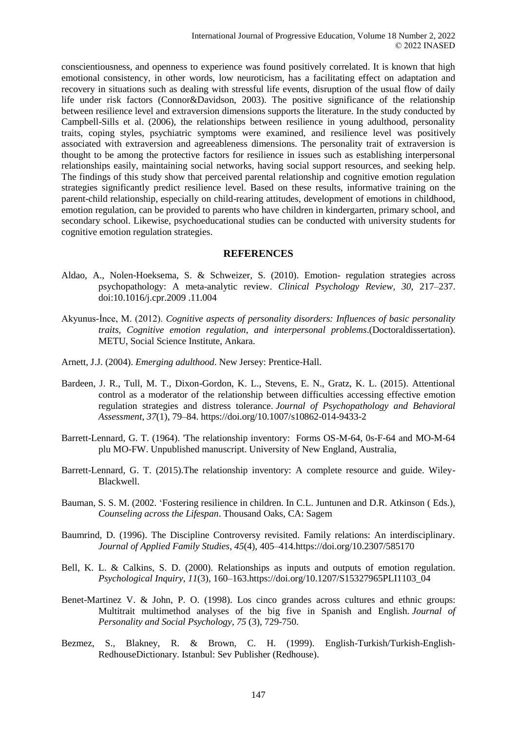conscientiousness, and openness to experience was found positively correlated. It is known that high emotional consistency, in other words, low neuroticism, has a facilitating effect on adaptation and recovery in situations such as dealing with stressful life events, disruption of the usual flow of daily life under risk factors (Connor&Davidson, 2003). The positive significance of the relationship between resilience level and extraversion dimensions supports the literature. In the study conducted by Campbell-Sills et al. (2006), the relationships between resilience in young adulthood, personality traits, coping styles, psychiatric symptoms were examined, and resilience level was positively associated with extraversion and agreeableness dimensions. The personality trait of extraversion is thought to be among the protective factors for resilience in issues such as establishing interpersonal relationships easily, maintaining social networks, having social support resources, and seeking help. The findings of this study show that perceived parental relationship and cognitive emotion regulation strategies significantly predict resilience level. Based on these results, informative training on the parent-child relationship, especially on child-rearing attitudes, development of emotions in childhood, emotion regulation, can be provided to parents who have children in kindergarten, primary school, and secondary school. Likewise, psychoeducational studies can be conducted with university students for cognitive emotion regulation strategies.

## **REFERENCES**

- Aldao, A., Nolen-Hoeksema, S. & Schweizer, S. (2010). Emotion- regulation strategies across psychopathology: A meta-analytic review. *Clinical Psychology Review, 30,* 217–237. doi:10.1016/j.cpr.2009 .11.004
- Akyunus-İnce, M. (2012). *Cognitive aspects of personality disorders: Influences of basic personality traits, Cognitive emotion regulation, and interpersonal problems*.(Doctoraldissertation). METU, Social Science Institute, Ankara.
- Arnett, J.J. (2004). *Emerging adulthood*. New Jersey: Prentice-Hall.
- Bardeen, J. R., Tull, M. T., Dixon-Gordon, K. L., Stevens, E. N., Gratz, K. L. (2015). Attentional control as a moderator of the relationship between difficulties accessing effective emotion regulation strategies and distress tolerance. *Journal of Psychopathology and Behavioral Assessment, 37*(1), 79–84. https://doi.org/10.1007/s10862-014-9433-2
- Barrett-Lennard, G. T. (1964). 'The relationship inventory: Forms OS-M-64, 0s-F-64 and MO-M-64 plu MO-FW. Unpublished manuscript. University of New England, Australia,
- Barrett-Lennard, G. T. (2015).The relationship inventory: A complete resource and guide. Wiley-Blackwell.
- Bauman, S. S. M. (2002. 'Fostering resilience in children. In C.L. Juntunen and D.R. Atkinson ( Eds.), *Counseling across the Lifespan*. Thousand Oaks, CA: Sagem
- Baumrind, D. (1996). The Discipline Controversy revisited. Family relations: An interdisciplinary. *Journal of Applied Family Studies*, *45*(4), 405–414[.https://doi.org/10.2307/585170](https://psycnet.apa.org/doi/10.2307/585170)
- Bell, K. L. & Calkins, S. D. (2000). Relationships as inputs and outputs of emotion regulation*. Psychological Inquiry*, *11*(3), 160–163.https://doi.org/10.1207/S15327965PLI1103\_04
- Benet-Martinez V. & John, P. O. (1998). Los cinco grandes across cultures and ethnic groups: Multitrait multimethod analyses of the big five in Spanish and English. *Journal of Personality and Social Psychology*, *75* (3), 729-750.
- Bezmez, S., Blakney, R. & Brown, C. H. (1999). English-Turkish/Turkish-English-RedhouseDictionary. Istanbul: Sev Publisher (Redhouse).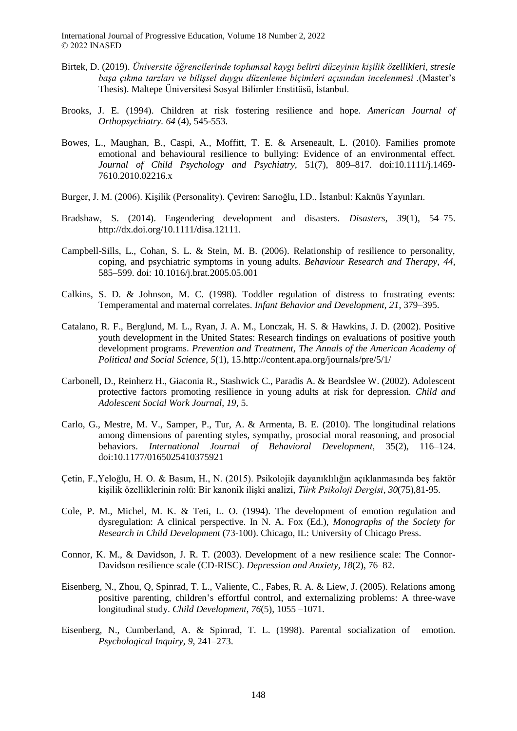- Birtek, D. (2019). *Üniversite öğrencilerinde toplumsal kaygı belirti düzeyinin kişilik özellikleri, stresle başa çıkma tarzları ve bilişsel duygu düzenleme biçimleri açısından incelenmesi .*(Master's Thesis). Maltepe Üniversitesi Sosyal Bilimler Enstitüsü, İstanbul.
- Brooks, J. E. (1994). Children at risk fostering resilience and hope. *American Journal of Orthopsychiatry. 64* (4), 545-553.
- Bowes, L., Maughan, B., Caspi, A., Moffitt, T. E. & Arseneault, L. (2010). Families promote emotional and behavioural resilience to bullying: Evidence of an environmental effect. *Journal of Child Psychology and Psychiatry,* 51(7), 809–817. doi:10.1111/j.1469- 7610.2010.02216.x
- Burger, J. M. (2006). Kişilik (Personality). Çeviren: Sarıoğlu, I.D., İstanbul: Kaknüs Yayınları.
- Bradshaw, S. (2014). Engendering development and disasters*. Disasters*, *39*(1), 54–75. [http://dx.doi.org/10.1111/disa.12111.](http://dx.doi.org/10.1111/disa.12111)
- Campbell-Sills, L., Cohan, S. L. & Stein, M. B. (2006). Relationship of resilience to personality, coping, and psychiatric symptoms in young adults*. Behaviour Research and Therapy*, *44*, 585–599. doi: 10.1016/j.brat.2005.05.001
- Calkins, S. D. & Johnson, M. C. (1998). Toddler regulation of distress to frustrating events: Temperamental and maternal correlates. *Infant Behavior and Development, 21*, 379–395.
- Catalano, R. F., Berglund, M. L., Ryan, J. A. M., Lonczak, H. S. & Hawkins, J. D. (2002). Positive youth development in the United States: Research findings on evaluations of positive youth development programs. *Prevention and Treatment, The Annals of the American Academy of Political and Social Science, 5*(1), 15.<http://content.apa.org/journals/pre/5/1/>
- Carbonell, D., Reinherz H., Giaconia R., Stashwick C., Paradis A. & Beardslee W. (2002). Adolescent protective factors promoting resilience in young adults at risk for depression. *Child and Adolescent Social Work Journal*, *19*, 5.
- Carlo, G., Mestre, M. V., Samper, P., Tur, A. & Armenta, B. E. (2010). The longitudinal relations among dimensions of parenting styles, sympathy, prosocial moral reasoning, and prosocial behaviors. *International Journal of Behavioral Development,* 35(2), 116–124. doi:10.1177/0165025410375921
- Çetin, F.,Yeloğlu, H. O. & Basım, H., N. (2015). Psikolojik dayanıklılığın açıklanmasında beş faktör kişilik özelliklerinin rolü: Bir kanonik ilişki analizi, *Türk Psikoloji Dergisi*, *30*(75),81-95.
- Cole, P. M., Michel, M. K. & Teti, L. O. (1994). The development of emotion regulation and dysregulation: A clinical perspective. In N. A. Fox (Ed.), *Monographs of the Society for Research in Child Development* (73-100). Chicago, IL: University of Chicago Press.
- Connor, K. M., & Davidson, J. R. T. (2003). Development of a new resilience scale: The Connor-Davidson resilience scale (CD-RISC). *Depression and Anxiety, 18*(2), 76–82.
- Eisenberg, N., Zhou, Q, Spinrad, T. L., Valiente, C., Fabes, R. A. & Liew, J. (2005). Relations among positive parenting, children's effortful control, and externalizing problems: A three-wave longitudinal study. *Child Development*, *76*(5), 1055 –1071.
- Eisenberg, N., Cumberland, A. & Spinrad, T. L. (1998). Parental socialization of emotion. *Psychological Inquiry, 9*, 241–273.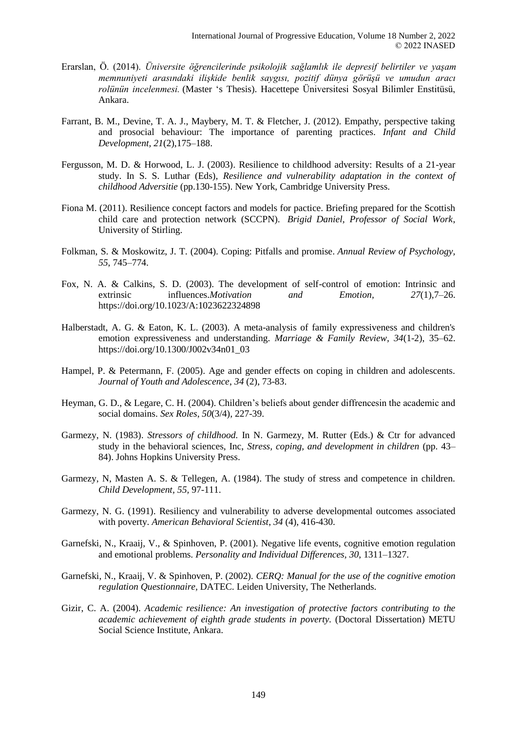- Erarslan, Ö. (2014). *Üniversite öğrencilerinde psikolojik sağlamlık ile depresif belirtiler ve yaşam memnuniyeti arasındaki ilişkide benlik saygısı, pozitif dünya görüşü ve umudun aracı rolünün incelenmesi.* (Master 's Thesis). Hacettepe Üniversitesi Sosyal Bilimler Enstitüsü, Ankara.
- Farrant, B. M., Devine, T. A. J., Maybery, M. T. & Fletcher, J. (2012). Empathy, perspective taking and prosocial behaviour: The importance of parenting practices. *Infant and Child Development, 21*(2),175–188.
- Fergusson, M. D. & Horwood, L. J. (2003). Resilience to childhood adversity: Results of a 21-year study. In S. S. Luthar (Eds), *Resilience and vulnerability adaptation in the context of childhood Adversitie* (pp.130-155). New York, Cambridge University Press.
- Fiona M. (2011). Resilience concept factors and models for pactice. Briefing prepared for the Scottish child care and protection network (SCCPN). *Brigid Daniel, Professor of Social Work*, University of Stirling.
- Folkman, S. & Moskowitz, J. T. (2004). Coping: Pitfalls and promise*. Annual Review of Psychology, 55*, 745–774.
- Fox, N. A. & Calkins, S. D. (2003). The development of self-control of emotion: Intrinsic and extrinsic influences.*Motivation and Emotion, 27*(1),7–26. [https://doi.org/10.1023/A:1023622324898](https://psycnet.apa.org/doi/10.1023/A:1023622324898)
- Halberstadt, A. G. & Eaton, K. L. (2003)*.* A meta-analysis of family expressiveness and children's emotion expressiveness and understanding. *Marriage & Family Review, 34*(1-2), 35–62. [https://doi.org/10.1300/J002v34n01\\_03](https://psycnet.apa.org/doi/10.1300/J002v34n01_03)
- Hampel, P. & Petermann, F. (2005). Age and gender effects on coping in children and adolescents. *Journal of Youth and Adolescence*, *34* (2), 73-83.
- Heyman, G. D., & Legare, C. H. (2004). Children's beliefs about gender diffrencesin the academic and social domains. *Sex Roles*, *50*(3/4), 227-39.
- Garmezy, N. (1983). *Stressors of childhood.* In N. Garmezy, M. Rutter (Eds.) & Ctr for advanced study in the behavioral sciences, Inc, *Stress, coping, and development in children* (pp. 43– 84). Johns Hopkins University Press.
- Garmezy, N, Masten A. S. & Tellegen, A. (1984). The study of stress and competence in children. *Child Development, 55,* 97-111.
- Garmezy, N. G. (1991). Resiliency and vulnerability to adverse developmental outcomes associated with poverty. *American Behavioral Scientist*, *34* (4), 416-430.
- Garnefski, N., Kraaij, V., & Spinhoven, P. (2001). Negative life events, cognitive emotion regulation and emotional problems. *Personality and Individual Differences, 30*, 1311–1327.
- Garnefski, N., Kraaij, V. & Spinhoven, P. (2002). *CERQ: Manual for the use of the cognitive emotion regulation Questionnaire,* DATEC. Leiden University, The Netherlands.
- Gizir, C. A. (2004). *Academic resilience: An investigation of protective factors contributing to the academic achievement of eighth grade students in poverty.* (Doctoral Dissertation) METU Social Science Institute, Ankara.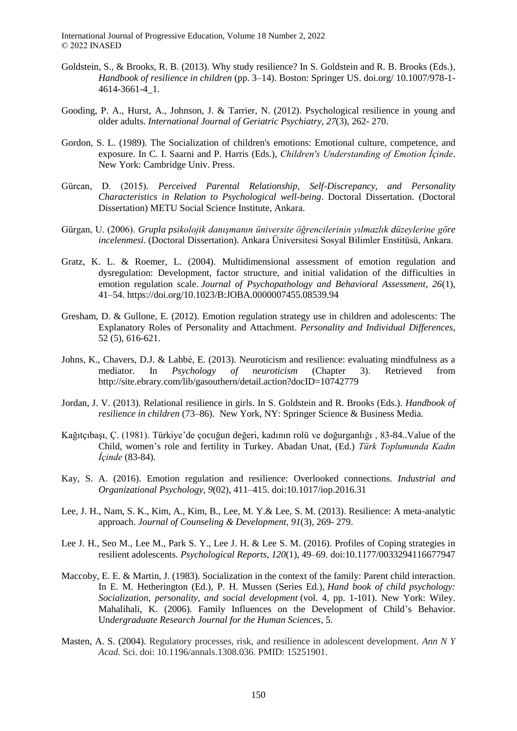- Goldstein, S., & Brooks, R. B. (2013). Why study resilience? In S. Goldstein and R. B. Brooks (Eds.), *Handbook of resilience in children* (pp. 3–14). Boston: Springer US. doi.org/ 10.1007/978-1- 4614-3661-4\_1.
- Gooding, P. A., Hurst, A., Johnson, J. & Tarrier, N. (2012). Psychological resilience in young and older adults. *International Journal of Geriatric Psychiatry, 27*(3), 262- 270.
- Gordon, S. L. (1989). The Socialization of children's emotions: Emotional culture, competence, and exposure. In C. I. Saarni and P. Harris (Eds.), *Children's Understanding of Emotion Icinde*. New York: Cambridge Univ. Press.
- Gürcan, D. (2015)*. Perceived Parental Relationship, Self-Discrepancy, and Personality Characteristics in Relation to Psychological well-being*. Doctoral Dissertation. (Doctoral Dissertation) METU Social Science Institute, Ankara.
- Gürgan, U. (2006). *Grupla psikolojik danışmanın üniversite öğrencilerinin yılmazlık düzeylerine göre incelenmesi.* (Doctoral Dissertation). Ankara Üniversitesi Sosyal Bilimler Enstitüsü, Ankara.
- Gratz, K. L. & Roemer, L. (2004). Multidimensional assessment of emotion regulation and dysregulation: Development, factor structure, and initial validation of the difficulties in emotion regulation scale. *Journal of Psychopathology and Behavioral Assessment, 26*(1), 41–54. [https://doi.org/10.1023/B:JOBA.0000007455.08539.94](https://psycnet.apa.org/doi/10.1023/B:JOBA.0000007455.08539.94)
- Gresham, D. & Gullone, E. (2012). Emotion regulation strategy use in children and adolescents: The Explanatory Roles of Personality and Attachment. *Personality and Individual Differences*, 52 (5), 616-621.
- Johns, K., Chavers, D.J. & Labbé, E. (2013). Neuroticism and resilience: evaluating mindfulness as a mediator. In *Psychology of neuroticism* (Chapter 3). Retrieved from <http://site.ebrary.com/lib/gasouthern/detail.action?docID=10742779>
- Jordan, J. V. (2013). Relational resilience in girls. In S. Goldstein and R. Brooks (Eds.). *Handbook of resilience in children* (73–86). New York, NY: Springer Science & Business Media.
- Kağıtçıbaşı, Ç. (1981). Türkiye'de çocuğun değeri, kadının rolü ve doğurganlığı , 83-84..Value of the Child, women's role and fertility in Turkey. Abadan Unat, (Ed.) *Türk Toplumunda Kadın İçinde* (83-84).
- Kay, S. A. (2016). Emotion regulation and resilience: Overlooked connections. *Industrial and Organizational Psychology*, *9*(02), 411–415. doi:10.1017/iop.2016.31
- Lee, J. H., Nam, S. K., Kim, A., Kim, B., Lee, M. Y.& Lee, S. M. (2013). Resilience: A meta-analytic approach. *Journal of Counseling & Development*, *91*(3), 269- 279.
- Lee J. H., Seo M., Lee M., Park S. Y., Lee J. H. & Lee S. M. (2016). Profiles of Coping strategies in resilient adolescents. *Psychological Reports*, *120*(1), 49–69. doi:10.1177/0033294116677947
- Maccoby, E. E. & Martin, J. (1983). Socialization in the context of the family: Parent child interaction. In E. M. Hetherington (Ed.), P. H. Mussen (Series Ed.), *Hand book of child psychology: Socialization, personality, and social development* (vol. 4, pp. 1-101). New York: Wiley. Mahalihali, K. (2006). Family Influences on the Development of Child's Behavior. Un*dergraduate Research Journal for the Human Sciences*, 5.
- Masten, A. S. (2004). Regulatory processes, risk, and resilience in adolescent development. *Ann N Y Acad.* Sci. doi: 10.1196/annals.1308.036. PMID: 15251901.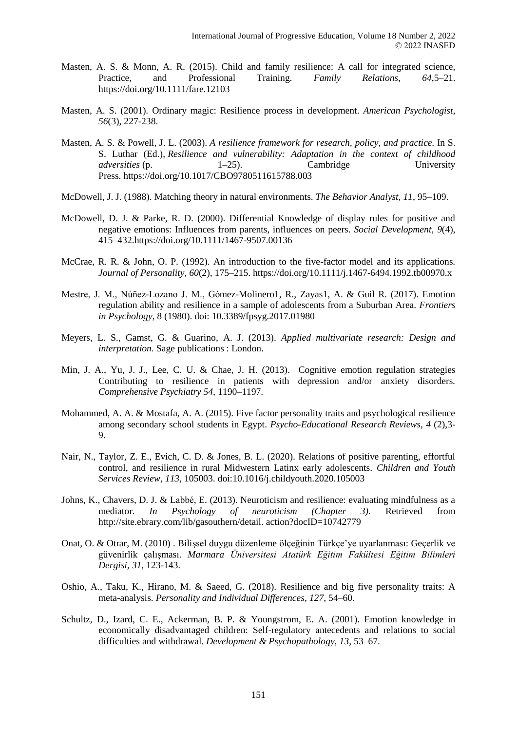- Masten, A. S. & Monn, A. R. (2015). Child and family resilience: A call for integrated science, Practice, and Professional Training. *Family Relations*, *64*,5–21. <https://doi.org/10.1111/fare.12103>
- Masten, A. S. (2001). Ordinary magic: Resilience process in development. *American Psychologist*, *56*(3), 227-238.
- Masten, A. S. & Powell, J. L. (2003). *A resilience framework for research, policy, and practice.* In S. S. Luthar (Ed.), *Resilience and vulnerability: Adaptation in the context of childhood adversities* (p. 1–25). Cambridge University Press. [https://doi.org/10.1017/CBO9780511615788.003](https://psycnet.apa.org/doi/10.1017/CBO9780511615788.003)
- McDowell, J. J. (1988). Matching theory in natural environments. *The Behavior Analyst*, *11*, 95–109.
- McDowell, D. J. & Parke, R. D. (2000). Differential Knowledge of display rules for positive and negative emotions: Influences from parents, influences on peers. *Social Development, 9*(4), 415–43[2.https://doi.org/10.1111/1467-9507.00136](https://psycnet.apa.org/doi/10.1111/1467-9507.00136)
- McCrae, R. R. & John, O. P. (1992). An introduction to the five-factor model and its applications. *Journal of Personality, 60*(2), 175–215. https://doi.org/10.1111/j.1467-6494.1992.tb00970.x
- Mestre, J. M., Núñez-Lozano J. M., Gómez-Molinero1, R., Zayas1, A. & Guil R. (2017). Emotion regulation ability and resilience in a sample of adolescents from a Suburban Area. *Frontiers in Psychology*, 8 (1980). doi: 10.3389/fpsyg.2017.01980
- Meyers, L. S., Gamst, G. & Guarino, A. J. (2013). *Applied multivariate research: Design and interpretation*. Sage publications : London.
- Min, J. A., Yu, J. J., Lee, C. U. & Chae, J. H. (2013). Cognitive emotion regulation strategies Contributing to resilience in patients with depression and/or anxiety disorders*. Comprehensive Psychiatry 54,* 1190–1197.
- Mohammed, A. A. & Mostafa, A. A. (2015). Five factor personality traits and psychological resilience among secondary school students in Egypt. *Psycho-Educational Research Reviews, 4* (2),3- 9.
- Nair, N., Taylor, Z. E., Evich, C. D. & Jones, B. L. (2020). Relations of positive parenting, effortful control, and resilience in rural Midwestern Latinx early adolescents*. Children and Youth Services Review*, *113*, 105003. doi:10.1016/j.childyouth.2020.105003
- Johns, K., Chavers, D. J. & Labbé, E. (2013). Neuroticism and resilience: evaluating mindfulness as a mediator*. In Psychology of neuroticism (Chapter 3).* Retrieved from http://site.ebrary.com/lib/gasouthern/detail. action?docID=10742779
- Onat, O. & Otrar, M. (2010) . Bilişsel duygu düzenleme ölçeğinin Türkçe'ye uyarlanması: Geçerlik ve güvenirlik çalışması. *Marmara Üniversitesi Atatürk Eğitim Fakültesi Eğitim Bilimleri Dergisi, 31*, 123-143.
- Oshio, A., Taku, K., Hirano, M. & Saeed, G. (2018). Resilience and big five personality traits: A meta-analysis. *Personality and Individual Differences, 127*, 54–60.
- Schultz, D., Izard, C. E., Ackerman, B. P. & Youngstrom, E. A. (2001). Emotion knowledge in economically disadvantaged children: Self-regulatory antecedents and relations to social difficulties and withdrawal. *Development & Psychopathology, 13*, 53–67.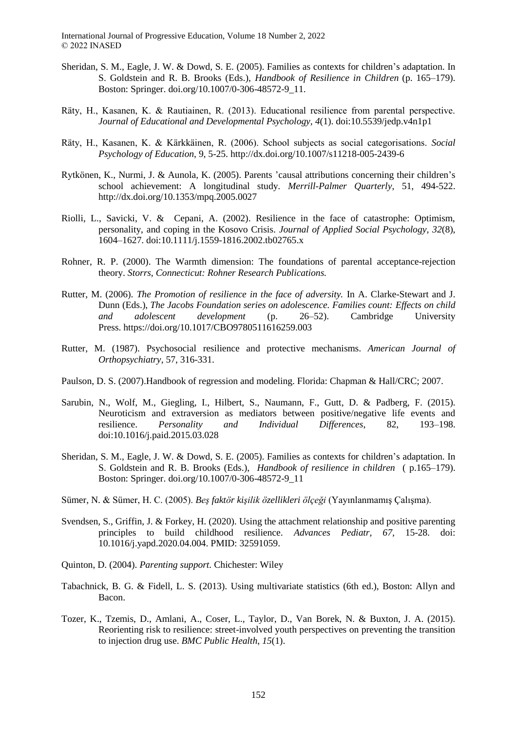- Sheridan, S. M., Eagle, J. W. & Dowd, S. E. (2005). Families as contexts for children's adaptation. In S. Goldstein and R. B. Brooks (Eds.), *Handbook of Resilience in Children* (p. 165–179). Boston: Springer. [doi.org/10.1007/0-306-48572-9\\_11.](http://doi.org/10.1007/0-306-48572-9_11)
- Räty, H., Kasanen, K. & Rautiainen, R. (2013). Educational resilience from parental perspective. *Journal of Educational and Developmental Psychology, 4*(1). doi:10.5539/jedp.v4n1p1
- Räty, H., Kasanen, K. & Kärkkäinen, R. (2006). School subjects as social categorisations. *Social Psychology of Education*, 9, 5-25.<http://dx.doi.org/10.1007/s11218-005-2439-6>
- Rytkönen, K., Nurmi, J. & Aunola, K. (2005). Parents 'causal attributions concerning their children's school achievement: A longitudinal study. *Merrill-Palmer Quarterly*, 51, 494-522. http://dx.doi.org/10.1353/mpq.2005.0027
- Riolli, L., Savicki, V. & Cepani, A. (2002). Resilience in the face of catastrophe: Optimism, personality, and coping in the Kosovo Crisis. *Journal of Applied Social Psychology, 32*(8), 1604–1627. doi:10.1111/j.1559-1816.2002.tb02765.x
- Rohner, R. P. (2000). The Warmth dimension: The foundations of parental acceptance-rejection theory. *Storrs, Connecticut: Rohner Research Publications.*
- Rutter, M. (2006). *The Promotion of resilience in the face of adversity.* In A. Clarke-Stewart and J. Dunn (Eds.), *The Jacobs Foundation series on adolescence. Families count: Effects on child and adolescent development* (p. 26–52). Cambridge University Press. [https://doi.org/10.1017/CBO9780511616259.003](https://psycnet.apa.org/doi/10.1017/CBO9780511616259.003)
- Rutter, M. (1987). Psychosocial resilience and protective mechanisms. *American Journal of Orthopsychiatry*, 57, 316-331.
- Paulson, D. S. (2007).Handbook of regression and modeling. Florida: Chapman & Hall/CRC; 2007.
- Sarubin, N., Wolf, M., Giegling, I., Hilbert, S., Naumann, F., Gutt, D. & Padberg, F. (2015). Neuroticism and extraversion as mediators between positive/negative life events and resilience. *Personality and Individual Differences*, 82, 193–198. doi:10.1016/j.paid.2015.03.028
- Sheridan, S. M., Eagle, J. W. & Dowd, S. E. (2005). Families as contexts for children's adaptation. In S. Goldstein and R. B. Brooks (Eds.), *Handbook of resilience in children* ( p.165–179). Boston: Springer. [doi.org/10.1007/0-306-48572-9\\_11](http://doi.org/10.1007/0-306-48572-9_11)
- Sümer, N. & Sümer, H. C. (2005). *Beş faktör kişilik özellikleri ölçeği* (Yayınlanmamış Çalışma).
- Svendsen, S., Griffin, J. & Forkey, H. (2020). Using the attachment relationship and positive parenting principles to build childhood resilience. *Advances Pediatr, 67,* 15-28. doi: 10.1016/j.yapd.2020.04.004. PMID: 32591059.
- Quinton, D. (2004). *Parenting support.* Chichester: Wiley
- Tabachnick, B. G. & Fidell, L. S. (2013). Using multivariate statistics (6th ed.), Boston: Allyn and Bacon.
- Tozer, K., Tzemis, D., Amlani, A., Coser, L., Taylor, D., Van Borek, N. & Buxton, J. A. (2015). Reorienting risk to resilience: street-involved youth perspectives on preventing the transition to injection drug use. *BMC Public Health*, *15*(1).